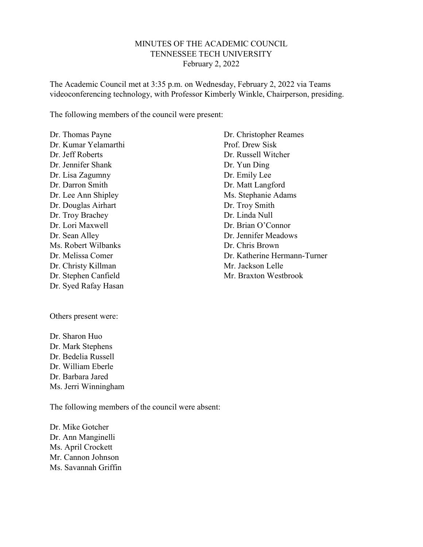#### MINUTES OF THE ACADEMIC COUNCIL TENNESSEE TECH UNIVERSITY February 2, 2022

The Academic Council met at 3:35 p.m. on Wednesday, February 2, 2022 via Teams videoconferencing technology, with Professor Kimberly Winkle, Chairperson, presiding.

The following members of the council were present:

Dr. Thomas Payne Dr. Kumar Yelamarthi Dr. Jeff Roberts Dr. Jennifer Shank Dr. Lisa Zagumny Dr. Darron Smith Dr. Lee Ann Shipley Dr. Douglas Airhart Dr. Troy Brachey Dr. Lori Maxwell Dr. Sean Alley Ms. Robert Wilbanks Dr. Melissa Comer Dr. Christy Killman Dr. Stephen Canfield Dr. Syed Rafay Hasan

Others present were:

Dr. Sharon Huo Dr. Mark Stephens Dr. Bedelia Russell Dr. William Eberle Dr. Barbara Jared Ms. Jerri Winningham

The following members of the council were absent:

Dr. Mike Gotcher Dr. Ann Manginelli Ms. April Crockett Mr. Cannon Johnson Ms. Savannah Griffin

Dr. Christopher Reames Prof. Drew Sisk Dr. Russell Witcher Dr. Yun Ding Dr. Emily Lee Dr. Matt Langford Ms. Stephanie Adams Dr. Troy Smith Dr. Linda Null Dr. Brian O'Connor Dr. Jennifer Meadows Dr. Chris Brown Dr. Katherine Hermann-Turner Mr. Jackson Lelle Mr. Braxton Westbrook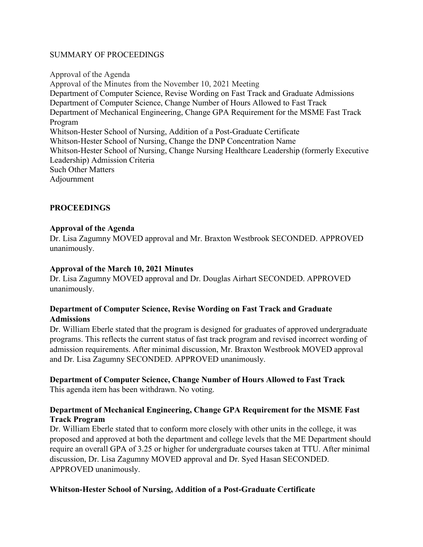#### SUMMARY OF PROCEEDINGS

Approval of the Agenda Approval of the Minutes from the November 10, 2021 Meeting Department of Computer Science, Revise Wording on Fast Track and Graduate Admissions Department of Computer Science, Change Number of Hours Allowed to Fast Track Department of Mechanical Engineering, Change GPA Requirement for the MSME Fast Track Program Whitson-Hester School of Nursing, Addition of a Post-Graduate Certificate Whitson-Hester School of Nursing, Change the DNP Concentration Name Whitson-Hester School of Nursing, Change Nursing Healthcare Leadership (formerly Executive Leadership) Admission Criteria Such Other Matters Adjournment

# **PROCEEDINGS**

#### Approval of the Agenda

Dr. Lisa Zagumny MOVED approval and Mr. Braxton Westbrook SECONDED. APPROVED unanimously.

#### Approval of the March 10, 2021 Minutes

Dr. Lisa Zagumny MOVED approval and Dr. Douglas Airhart SECONDED. APPROVED unanimously.

# Department of Computer Science, Revise Wording on Fast Track and Graduate **Admissions**

Dr. William Eberle stated that the program is designed for graduates of approved undergraduate programs. This reflects the current status of fast track program and revised incorrect wording of admission requirements. After minimal discussion, Mr. Braxton Westbrook MOVED approval and Dr. Lisa Zagumny SECONDED. APPROVED unanimously.

# Department of Computer Science, Change Number of Hours Allowed to Fast Track

This agenda item has been withdrawn. No voting.

# Department of Mechanical Engineering, Change GPA Requirement for the MSME Fast Track Program

Dr. William Eberle stated that to conform more closely with other units in the college, it was proposed and approved at both the department and college levels that the ME Department should require an overall GPA of 3.25 or higher for undergraduate courses taken at TTU. After minimal discussion, Dr. Lisa Zagumny MOVED approval and Dr. Syed Hasan SECONDED. APPROVED unanimously.

# Whitson-Hester School of Nursing, Addition of a Post-Graduate Certificate